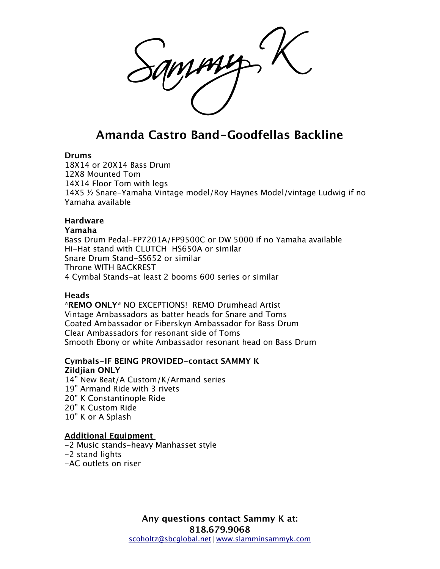# **Amanda Castro Band-Goodfellas Backline**

#### **Drums**

18X14 or 20X14 Bass Drum 12X8 Mounted Tom 14X14 Floor Tom with legs 14X5 ½ Snare-Yamaha Vintage model/Roy Haynes Model/vintage Ludwig if no Yamaha available

## **Hardware**

#### **Yamaha**

Bass Drum Pedal-FP7201A/FP9500C or DW 5000 if no Yamaha available Hi-Hat stand with CLUTCH HS650A or similar Snare Drum Stand-SS652 or similar Throne WITH BACKREST 4 Cymbal Stands-at least 2 booms 600 series or similar

## **Heads**

**\*REMO ONLY\*** NO EXCEPTIONS! REMO Drumhead Artist Vintage Ambassadors as batter heads for Snare and Toms Coated Ambassador or Fiberskyn Ambassador for Bass Drum Clear Ambassadors for resonant side of Toms Smooth Ebony or white Ambassador resonant head on Bass Drum

# **Cymbals-IF BEING PROVIDED-contact SAMMY K Zildjian ONLY**

14" New Beat/A Custom/K/Armand series 19" Armand Ride with 3 rivets 20" K Constantinople Ride 20" K Custom Ride 10" K or A Splash

## **Additional Equipment**

-2 Music stands-heavy Manhasset style -2 stand lights -AC outlets on riser